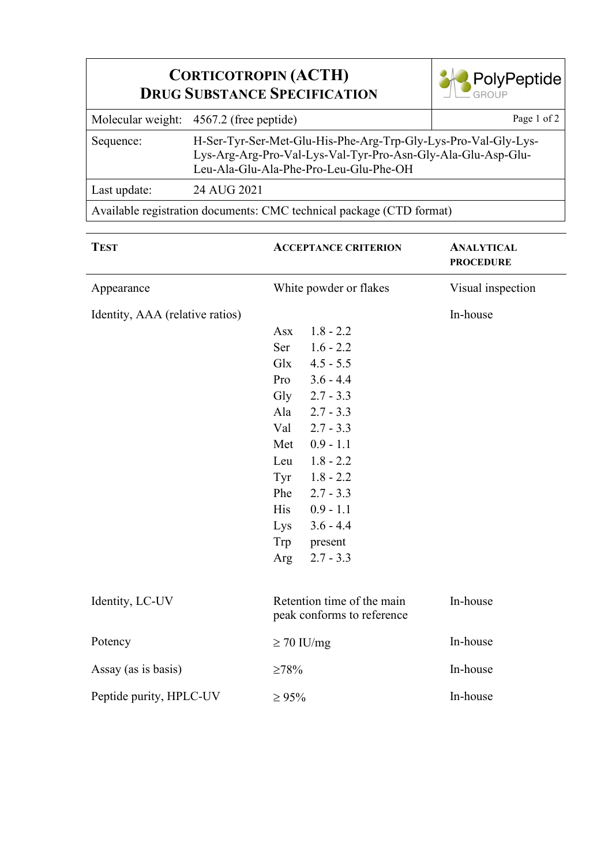| <b>CORTICOTROPIN (ACTH)</b><br><b>DRUG SUBSTANCE SPECIFICATION</b>   | <b>PolyPeptide</b>                                                                                                                                                       |             |  |  |
|----------------------------------------------------------------------|--------------------------------------------------------------------------------------------------------------------------------------------------------------------------|-------------|--|--|
|                                                                      | Molecular weight: 4567.2 (free peptide)                                                                                                                                  | Page 1 of 2 |  |  |
| Sequence:                                                            | H-Ser-Tyr-Ser-Met-Glu-His-Phe-Arg-Trp-Gly-Lys-Pro-Val-Gly-Lys-<br>Lys-Arg-Arg-Pro-Val-Lys-Val-Tyr-Pro-Asn-Gly-Ala-Glu-Asp-Glu-<br>Leu-Ala-Glu-Ala-Phe-Pro-Leu-Glu-Phe-OH |             |  |  |
| Last update:                                                         | 24 AUG 2021                                                                                                                                                              |             |  |  |
| Available registration documents: CMC technical package (CTD format) |                                                                                                                                                                          |             |  |  |

| <b>TEST</b>                     | <b>ACCEPTANCE CRITERION</b><br>White powder or flakes    |             | <b>ANALYTICAL</b><br><b>PROCEDURE</b><br>Visual inspection |
|---------------------------------|----------------------------------------------------------|-------------|------------------------------------------------------------|
| Appearance                      |                                                          |             |                                                            |
| Identity, AAA (relative ratios) |                                                          |             | In-house                                                   |
|                                 | <b>Asx</b>                                               | $1.8 - 2.2$ |                                                            |
|                                 | Ser                                                      | $1.6 - 2.2$ |                                                            |
|                                 | Glx                                                      | $4.5 - 5.5$ |                                                            |
|                                 | Pro                                                      | $3.6 - 4.4$ |                                                            |
|                                 | Gly                                                      | $2.7 - 3.3$ |                                                            |
|                                 | Ala                                                      | $2.7 - 3.3$ |                                                            |
|                                 | Val                                                      | $2.7 - 3.3$ |                                                            |
|                                 | Met                                                      | $0.9 - 1.1$ |                                                            |
|                                 | Leu                                                      | $1.8 - 2.2$ |                                                            |
|                                 | Tyr                                                      | $1.8 - 2.2$ |                                                            |
|                                 | Phe                                                      | $2.7 - 3.3$ |                                                            |
|                                 | <b>His</b>                                               | $0.9 - 1.1$ |                                                            |
|                                 | Lys                                                      | $3.6 - 4.4$ |                                                            |
|                                 | Trp                                                      | present     |                                                            |
|                                 | Arg                                                      | $2.7 - 3.3$ |                                                            |
| Identity, LC-UV                 | Retention time of the main<br>peak conforms to reference |             | In-house                                                   |
| Potency                         | $\geq$ 70 IU/mg                                          |             | In-house                                                   |
| Assay (as is basis)             | $\geq 78\%$                                              |             | In-house                                                   |
| Peptide purity, HPLC-UV         | $\ge 95\%$                                               |             | In-house                                                   |